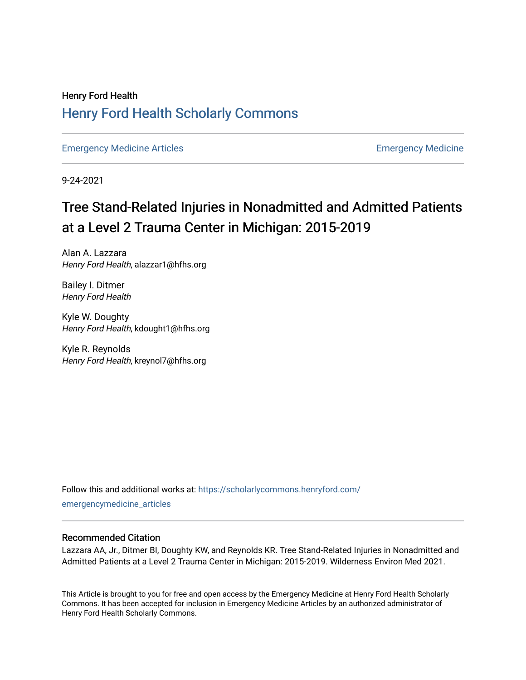## Henry Ford Health [Henry Ford Health Scholarly Commons](https://scholarlycommons.henryford.com/)

[Emergency Medicine Articles](https://scholarlycommons.henryford.com/emergencymedicine_articles) **Emergency Medicine** 

9-24-2021

# Tree Stand-Related Injuries in Nonadmitted and Admitted Patients at a Level 2 Trauma Center in Michigan: 2015-2019

Alan A. Lazzara Henry Ford Health, alazzar1@hfhs.org

Bailey I. Ditmer Henry Ford Health

Kyle W. Doughty Henry Ford Health, kdought1@hfhs.org

Kyle R. Reynolds Henry Ford Health, kreynol7@hfhs.org

Follow this and additional works at: [https://scholarlycommons.henryford.com/](https://scholarlycommons.henryford.com/emergencymedicine_articles?utm_source=scholarlycommons.henryford.com%2Femergencymedicine_articles%2F241&utm_medium=PDF&utm_campaign=PDFCoverPages) [emergencymedicine\\_articles](https://scholarlycommons.henryford.com/emergencymedicine_articles?utm_source=scholarlycommons.henryford.com%2Femergencymedicine_articles%2F241&utm_medium=PDF&utm_campaign=PDFCoverPages) 

## Recommended Citation

Lazzara AA, Jr., Ditmer BI, Doughty KW, and Reynolds KR. Tree Stand-Related Injuries in Nonadmitted and Admitted Patients at a Level 2 Trauma Center in Michigan: 2015-2019. Wilderness Environ Med 2021.

This Article is brought to you for free and open access by the Emergency Medicine at Henry Ford Health Scholarly Commons. It has been accepted for inclusion in Emergency Medicine Articles by an authorized administrator of Henry Ford Health Scholarly Commons.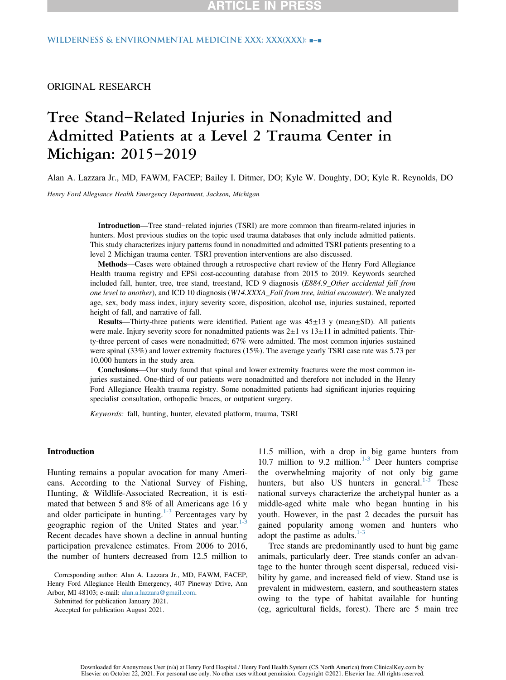## ORIGINAL RESEARCH

## Tree Stand–Related Injuries in Nonadmitted and Admitted Patients at a Level 2 Trauma Center in Michigan: 2015–2019

Alan A. Lazzara Jr., MD, FAWM, FACEP; Bailey I. Ditmer, DO; Kyle W. Doughty, DO; Kyle R. Reynolds, DO

Henry Ford Allegiance Health Emergency Department, Jackson, Michigan

Introduction—Tree stand–related injuries (TSRI) are more common than firearm-related injuries in hunters. Most previous studies on the topic used trauma databases that only include admitted patients. This study characterizes injury patterns found in nonadmitted and admitted TSRI patients presenting to a level 2 Michigan trauma center. TSRI prevention interventions are also discussed.

Methods—Cases were obtained through a retrospective chart review of the Henry Ford Allegiance Health trauma registry and EPSi cost-accounting database from 2015 to 2019. Keywords searched included fall, hunter, tree, tree stand, treestand, ICD 9 diagnosis (E884.9\_Other accidental fall from one level to another), and ICD 10 diagnosis (W14.XXXA\_Fall from tree, initial encounter). We analyzed age, sex, body mass index, injury severity score, disposition, alcohol use, injuries sustained, reported height of fall, and narrative of fall.

**Results—Thirty-three patients were identified. Patient age was**  $45\pm13$  **y (mean** $\pm$ **SD). All patients** were male. Injury severity score for nonadmitted patients was  $2\pm 1$  vs  $13\pm 11$  in admitted patients. Thirty-three percent of cases were nonadmitted; 67% were admitted. The most common injuries sustained were spinal (33%) and lower extremity fractures (15%). The average yearly TSRI case rate was 5.73 per 10,000 hunters in the study area.

Conclusions—Our study found that spinal and lower extremity fractures were the most common injuries sustained. One-third of our patients were nonadmitted and therefore not included in the Henry Ford Allegiance Health trauma registry. Some nonadmitted patients had significant injuries requiring specialist consultation, orthopedic braces, or outpatient surgery.

Keywords: fall, hunting, hunter, elevated platform, trauma, TSRI

#### Introduction

Hunting remains a popular avocation for many Americans. According to the National Survey of Fishing, Hunting, & Wildlife-Associated Recreation, it is estimated that between 5 and 8% of all Americans age 16 y and older participate in hunting.<sup>[1-3](#page-6-0)</sup> Percentages vary by geographic region of the United States and year. $1$ -3 Recent decades have shown a decline in annual hunting participation prevalence estimates. From 2006 to 2016, the number of hunters decreased from 12.5 million to

Corresponding author: Alan A. Lazzara Jr., MD, FAWM, FACEP, Henry Ford Allegiance Health Emergency, 407 Pineway Drive, Ann Arbor, MI 48103; e-mail: [alan.a.lazzara@gmail.com](mailto:alan.a.lazzara@gmail.com).

Submitted for publication January 2021.

Accepted for publication August 2021.

11.5 million, with a drop in big game hunters from 10.7 million to 9.2 million. $1-3$  Deer hunters comprise the overwhelming majority of not only big game hunters, but also US hunters in general. $1-3$  These national surveys characterize the archetypal hunter as a middle-aged white male who began hunting in his youth. However, in the past 2 decades the pursuit has gained popularity among women and hunters who adopt the pastime as adults. $1-3$ 

Tree stands are predominantly used to hunt big game animals, particularly deer. Tree stands confer an advantage to the hunter through scent dispersal, reduced visibility by game, and increased field of view. Stand use is prevalent in midwestern, eastern, and southeastern states owing to the type of habitat available for hunting (eg, agricultural fields, forest). There are 5 main tree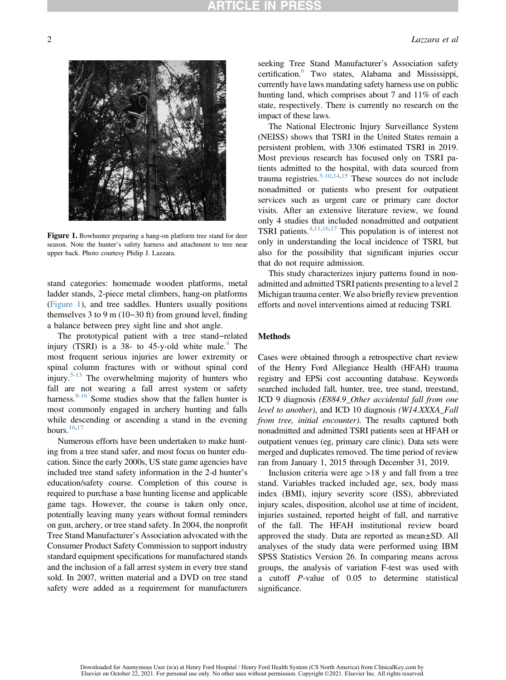<span id="page-2-0"></span>

Figure 1. Bowhunter preparing a hang-on platform tree stand for deer season. Note the hunter's safety harness and attachment to tree near upper back. Photo courtesy Philip J. Lazzara.

stand categories: homemade wooden platforms, metal ladder stands, 2-piece metal climbers, hang-on platforms [\(Figure 1](#page-2-0)), and tree saddles. Hunters usually positions themselves 3 to 9 m (10–30 ft) from ground level, finding a balance between prey sight line and shot angle.

The prototypical patient with a tree stand–related injury (TSRI) is a 38- to [4](#page-6-1)5-y-old white male.<sup>4</sup> The most frequent serious injuries are lower extremity or spinal column fractures with or without spinal cord injury.<sup>[5-13](#page-6-2)</sup> The overwhelming majority of hunters who fall are not wearing a fall arrest system or safety harness.  $8-16$  Some studies show that the fallen hunter is most commonly engaged in archery hunting and falls while descending or ascending a stand in the evening hours.<sup>[16,](#page-6-4)[17](#page-6-5)</sup>

Numerous efforts have been undertaken to make hunting from a tree stand safer, and most focus on hunter education. Since the early 2000s, US state game agencies have included tree stand safety information in the 2-d hunter'<sup>s</sup> education/safety course. Completion of this course is required to purchase a base hunting license and applicable game tags. However, the course is taken only once, potentially leaving many years without formal reminders on gun, archery, or tree stand safety. In 2004, the nonprofit Tree Stand Manufacturer's Association advocated with the Consumer Product Safety Commission to support industry standard equipment specifications for manufactured stands and the inclusion of a fall arrest system in every tree stand sold. In 2007, written material and a DVD on tree stand safety were added as a requirement for manufacturers seeking Tree Stand Manufacturer's Association safety certification.[6](#page-6-6) Two states, Alabama and Mississippi, currently have laws mandating safety harness use on public hunting land, which comprises about 7 and 11% of each state, respectively. There is currently no research on the impact of these laws.

The National Electronic Injury Surveillance System (NEISS) shows that TSRI in the United States remain a persistent problem, with 3306 estimated TSRI in 2019. Most previous research has focused only on TSRI patients admitted to the hospital, with data sourced from trauma registries.<sup>[5-10,](#page-6-2)[14,](#page-6-7)[15](#page-6-8)</sup> These sources do not include nonadmitted or patients who present for outpatient services such as urgent care or primary care doctor visits. After an extensive literature review, we found only 4 studies that included nonadmitted and outpatient TSRI patients. $4,11,16,17$  $4,11,16,17$  $4,11,16,17$  $4,11,16,17$  This population is of interest not only in understanding the local incidence of TSRI, but also for the possibility that significant injuries occur that do not require admission.

This study characterizes injury patterns found in nonadmitted and admitted TSRI patients presenting to a level 2 Michigan trauma center. We also briefly review prevention efforts and novel interventions aimed at reducing TSRI.

### **Methods**

Cases were obtained through a retrospective chart review of the Henry Ford Allegiance Health (HFAH) trauma registry and EPSi cost accounting database. Keywords searched included fall, hunter, tree, tree stand, treestand, ICD 9 diagnosis (E884.9\_Other accidental fall from one level to another), and ICD 10 diagnosis (W14.XXXA\_Fall from tree, initial encounter). The results captured both nonadmitted and admitted TSRI patients seen at HFAH or outpatient venues (eg, primary care clinic). Data sets were merged and duplicates removed. The time period of review ran from January 1, 2015 through December 31, 2019.

Inclusion criteria were age  $>18$  y and fall from a tree stand. Variables tracked included age, sex, body mass index (BMI), injury severity score (ISS), abbreviated injury scales, disposition, alcohol use at time of incident, injuries sustained, reported height of fall, and narrative of the fall. The HFAH institutional review board approved the study. Data are reported as mean±SD. All analyses of the study data were performed using IBM SPSS Statistics Version 26. In comparing means across groups, the analysis of variation F-test was used with a cutoff P-value of 0.05 to determine statistical significance.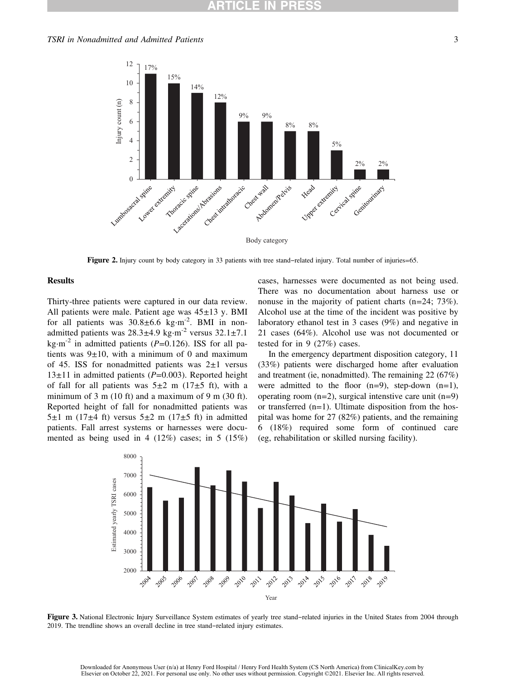<span id="page-3-0"></span>

Figure 2. Injury count by body category in 33 patients with tree stand–related injury. Total number of injuries=65.

#### **Results**

Thirty-three patients were captured in our data review. All patients were male. Patient age was  $45\pm13$  y. BMI for all patients was  $30.8 \pm 6.6$  kg⋅m<sup>-2</sup>. BMI in nonadmitted patients was  $28.3 \pm 4.9$  kg⋅m<sup>-2</sup> versus  $32.1 \pm 7.1$ kg⋅m<sup>-2</sup> in admitted patients (P=0.126). ISS for all patients was  $9\pm 10$ , with a minimum of 0 and maximum of 45. ISS for nonadmitted patients was  $2\pm 1$  versus  $13±11$  in admitted patients ( $P=0.003$ ). Reported height of fall for all patients was  $5\pm 2$  m (17 $\pm 5$  ft), with a minimum of 3 m (10 ft) and a maximum of 9 m (30 ft). Reported height of fall for nonadmitted patients was 5 $\pm$ 1 m (17 $\pm$ 4 ft) versus 5 $\pm$ 2 m (17 $\pm$ 5 ft) in admitted patients. Fall arrest systems or harnesses were documented as being used in 4 (12%) cases; in 5 (15%)

cases, harnesses were documented as not being used. There was no documentation about harness use or nonuse in the majority of patient charts (n=24; 73%). Alcohol use at the time of the incident was positive by laboratory ethanol test in 3 cases (9%) and negative in 21 cases (64%). Alcohol use was not documented or tested for in 9 (27%) cases.

In the emergency department disposition category, 11 (33%) patients were discharged home after evaluation and treatment (ie, nonadmitted). The remaining 22 (67%) were admitted to the floor  $(n=9)$ , step-down  $(n=1)$ , operating room  $(n=2)$ , surgical intenstive care unit  $(n=9)$ or transferred  $(n=1)$ . Ultimate disposition from the hospital was home for 27 (82%) patients, and the remaining 6 (18%) required some form of continued care (eg, rehabilitation or skilled nursing facility).

<span id="page-3-1"></span>

Figure 3. National Electronic Injury Surveillance System estimates of yearly tree stand–related injuries in the United States from 2004 through 2019. The trendline shows an overall decline in tree stand–related injury estimates.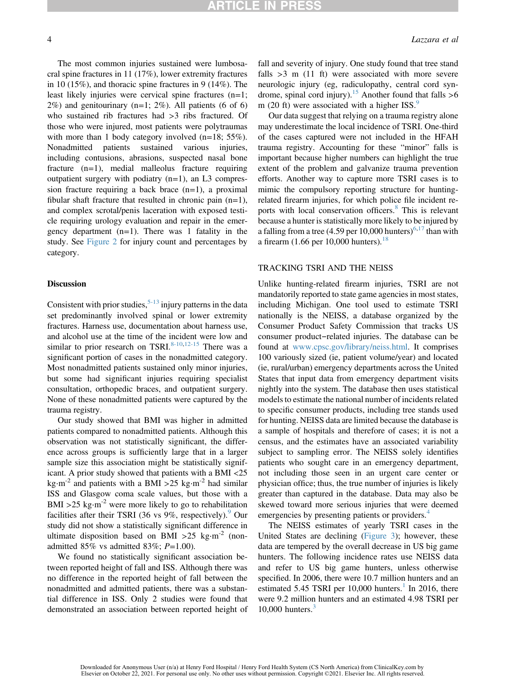The most common injuries sustained were lumbosacral spine fractures in 11 (17%), lower extremity fractures in 10 (15%), and thoracic spine fractures in 9 (14%). The least likely injuries were cervical spine fractures (n=1;  $2\%$ ) and genitourinary (n=1;  $2\%$ ). All patients (6 of 6) who sustained rib fractures had >3 ribs fractured. Of those who were injured, most patients were polytraumas with more than 1 body category involved  $(n=18; 55\%)$ .<br>Nonadmitted patients sustained various injuries, Nonadmitted including contusions, abrasions, suspected nasal bone fracture (n=1), medial malleolus fracture requiring outpatient surgery with podiatry  $(n=1)$ , an L3 compression fracture requiring a back brace  $(n=1)$ , a proximal fibular shaft fracture that resulted in chronic pain  $(n=1)$ , and complex scrotal/penis laceration with exposed testicle requiring urology evaluation and repair in the emergency department  $(n=1)$ . There was 1 fatality in the study. See [Figure 2](#page-3-0) for injury count and percentages by category.

#### **Discussion**

Consistent with prior studies,  $5-13$  injury patterns in the data set predominantly involved spinal or lower extremity fractures. Harness use, documentation about harness use, and alcohol use at the time of the incident were low and similar to prior research on TSRI. $8-10,12-15$  $8-10,12-15$  $8-10,12-15$  There was a significant portion of cases in the nonadmitted category. Most nonadmitted patients sustained only minor injuries, but some had significant injuries requiring specialist consultation, orthopedic braces, and outpatient surgery. None of these nonadmitted patients were captured by the trauma registry.

Our study showed that BMI was higher in admitted patients compared to nonadmitted patients. Although this observation was not statistically significant, the difference across groups is sufficiently large that in a larger sample size this association might be statistically significant. A prior study showed that patients with a BMI <25 kg⋅m<sup>-2</sup> and patients with a BMI >25 kg⋅m<sup>-2</sup> had similar ISS and Glasgow coma scale values, but those with a BMI >25 kg⋅m<sup>-2</sup> were more likely to go to rehabilitation facilities after their TSRI (36 vs  $9\%$  $9\%$ , respectively). Our study did not show a statistically significant difference in ultimate disposition based on BMI >25 kg⋅m<sup>-2</sup> (nonadmitted 85% vs admitted 83%;  $P=1.00$ ).

We found no statistically significant association between reported height of fall and ISS. Although there was no difference in the reported height of fall between the nonadmitted and admitted patients, there was a substantial difference in ISS. Only 2 studies were found that demonstrated an association between reported height of fall and severity of injury. One study found that tree stand falls  $>3$  m (11 ft) were associated with more severe neurologic injury (eg, radiculopathy, central cord syn-drome, spinal cord injury).<sup>[15](#page-6-8)</sup> Another found that falls  $>6$ m (20 ft) were associated with a higher ISS. $9$ 

Our data suggest that relying on a trauma registry alone may underestimate the local incidence of TSRI. One-third of the cases captured were not included in the HFAH trauma registry. Accounting for these "minor" falls is important because higher numbers can highlight the true extent of the problem and galvanize trauma prevention efforts. Another way to capture more TSRI cases is to mimic the compulsory reporting structure for huntingrelated firearm injuries, for which police file incident re-ports with local conservation officers.<sup>[8](#page-6-3)</sup> This is relevant because a hunter is statistically more likely to be injured by a falling from a tree (4.59 per 10,000 hunters)<sup>[6](#page-6-6)[,17](#page-6-5)</sup> than with a firearm  $(1.66$  per 10,000 hunters).<sup>[18](#page-6-12)</sup>

### TRACKING TSRI AND THE NEISS

Unlike hunting-related firearm injuries, TSRI are not mandatorily reported to state game agencies in most states, including Michigan. One tool used to estimate TSRI nationally is the NEISS, a database organized by the Consumer Product Safety Commission that tracks US consumer product–related injuries. The database can be found at [www.cpsc.gov/library/neiss.html](http://www.cpsc.gov/library/neiss.html). It comprises 100 variously sized (ie, patient volume/year) and located (ie, rural/urban) emergency departments across the United States that input data from emergency department visits nightly into the system. The database then uses statistical models to estimate the national number of incidents related to specific consumer products, including tree stands used for hunting. NEISS data are limited because the database is a sample of hospitals and therefore of cases; it is not a census, and the estimates have an associated variability subject to sampling error. The NEISS solely identifies patients who sought care in an emergency department, not including those seen in an urgent care center or physician office; thus, the true number of injuries is likely greater than captured in the database. Data may also be skewed toward more serious injuries that were deemed emergencies by presenting patients or providers.<sup>[4](#page-6-1)</sup>

The NEISS estimates of yearly TSRI cases in the United States are declining ([Figure 3](#page-3-1)); however, these data are tempered by the overall decrease in US big game hunters. The following incidence rates use NEISS data and refer to US big game hunters, unless otherwise specified. In 2006, there were 10.7 million hunters and an estimated 5.45 TSRI per  $10,000$  $10,000$  hunters.<sup>1</sup> In 2016, there were 9.2 million hunters and an estimated 4.98 TSRI per  $10,000$  hunters.<sup>[3](#page-6-13)</sup>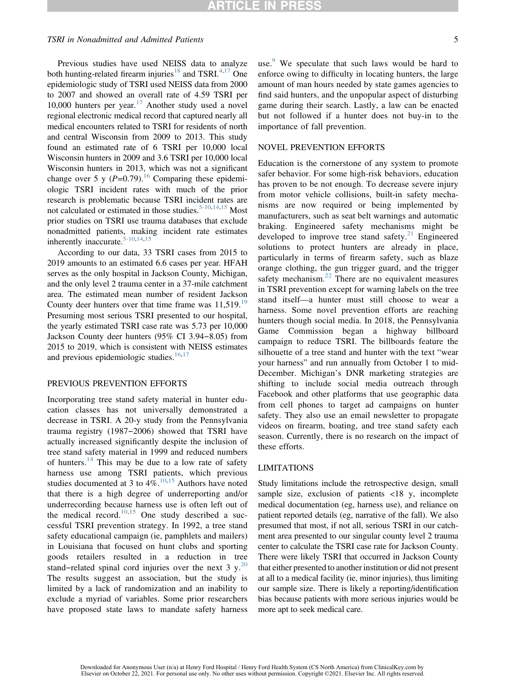#### TSRI in Nonadmitted and Admitted Patients 5

Previous studies have used NEISS data to analyze both hunting-related firearm injuries<sup>[18](#page-6-12)</sup> and TSRI.<sup>[4](#page-6-1)[,17](#page-6-5)</sup> One epidemiologic study of TSRI used NEISS data from 2000 to 2007 and showed an overall rate of 4.59 TSRI per 10,000 hunters per year.<sup>[17](#page-6-5)</sup> Another study used a novel regional electronic medical record that captured nearly all medical encounters related to TSRI for residents of north and central Wisconsin from 2009 to 2013. This study found an estimated rate of 6 TSRI per 10,000 local Wisconsin hunters in 2009 and 3.6 TSRI per 10,000 local Wisconsin hunters in 2013, which was not a significant change over 5 y  $(P=0.79)$ .<sup>16</sup> Comparing these epidemiologic TSRI incident rates with much of the prior research is problematic because TSRI incident rates are not calculated or estimated in those studies.<sup>[5-10](#page-6-2)[,14](#page-6-7)[,15](#page-6-8)</sup> Most prior studies on TSRI use trauma databases that exclude nonadmitted patients, making incident rate estimates inherently inaccurate.<sup>[5-10,](#page-6-2)[14](#page-6-7),[15](#page-6-8)</sup>

According to our data, 33 TSRI cases from 2015 to 2019 amounts to an estimated 6.6 cases per year. HFAH serves as the only hospital in Jackson County, Michigan, and the only level 2 trauma center in a 37-mile catchment area. The estimated mean number of resident Jackson County deer hunters over that time frame was  $11,519$  $11,519$ .<sup>19</sup> Presuming most serious TSRI presented to our hospital, the yearly estimated TSRI case rate was 5.73 per 10,000 Jackson County deer hunters (95% CI 3.94–8.05) from 2015 to 2019, which is consistent with NEISS estimates and previous epidemiologic studies. $16,17$  $16,17$  $16,17$ 

## PREVIOUS PREVENTION EFFORTS

Incorporating tree stand safety material in hunter education classes has not universally demonstrated a decrease in TSRI. A 20-y study from the Pennsylvania trauma registry (1987–2006) showed that TSRI have actually increased significantly despite the inclusion of tree stand safety material in 1999 and reduced numbers of hunters.<sup>[14](#page-6-7)</sup> This may be due to a low rate of safety harness use among TSRI patients, which previous studies documented at 3 to  $4\%$ .<sup>[10,](#page-6-15)[15](#page-6-8)</sup> Authors have noted that there is a high degree of underreporting and/or underrecording because harness use is often left out of the medical record.<sup>[10](#page-6-15)[,15](#page-6-8)</sup> One study described a successful TSRI prevention strategy. In 1992, a tree stand safety educational campaign (ie, pamphlets and mailers) in Louisiana that focused on hunt clubs and sporting goods retailers resulted in a reduction in tree stand–related spinal cord injuries over the next 3 y.<sup>[20](#page-6-16)</sup> The results suggest an association, but the study is limited by a lack of randomization and an inability to exclude a myriad of variables. Some prior researchers have proposed state laws to mandate safety harness use.<sup>[9](#page-6-11)</sup> We speculate that such laws would be hard to enforce owing to difficulty in locating hunters, the large amount of man hours needed by state games agencies to find said hunters, and the unpopular aspect of disturbing game during their search. Lastly, a law can be enacted but not followed if a hunter does not buy-in to the importance of fall prevention.

#### NOVEL PREVENTION EFFORTS

Education is the cornerstone of any system to promote safer behavior. For some high-risk behaviors, education has proven to be not enough. To decrease severe injury from motor vehicle collisions, built-in safety mechanisms are now required or being implemented by manufacturers, such as seat belt warnings and automatic braking. Engineered safety mechanisms might be developed to improve tree stand safety.<sup>[21](#page-6-17)</sup> Engineered solutions to protect hunters are already in place, particularly in terms of firearm safety, such as blaze orange clothing, the gun trigger guard, and the trigger safety mechanism. $^{22}$  $^{22}$  $^{22}$  There are no equivalent measures in TSRI prevention except for warning labels on the tree stand itself—a hunter must still choose to wear a harness. Some novel prevention efforts are reaching hunters though social media. In 2018, the Pennsylvania Game Commission began a highway billboard campaign to reduce TSRI. The billboards feature the silhouette of a tree stand and hunter with the text "wear your harness" and run annually from October 1 to mid-December. Michigan's DNR marketing strategies are shifting to include social media outreach through Facebook and other platforms that use geographic data from cell phones to target ad campaigns on hunter safety. They also use an email newsletter to propagate videos on firearm, boating, and tree stand safety each season. Currently, there is no research on the impact of these efforts.

#### LIMITATIONS

Study limitations include the retrospective design, small sample size, exclusion of patients  $\langle 18 \rangle$  y, incomplete medical documentation (eg, harness use), and reliance on patient reported details (eg, narrative of the fall). We also presumed that most, if not all, serious TSRI in our catchment area presented to our singular county level 2 trauma center to calculate the TSRI case rate for Jackson County. There were likely TSRI that occurred in Jackson County that either presented to another institution or did not present at all to a medical facility (ie, minor injuries), thus limiting our sample size. There is likely a reporting/identification bias because patients with more serious injuries would be more apt to seek medical care.